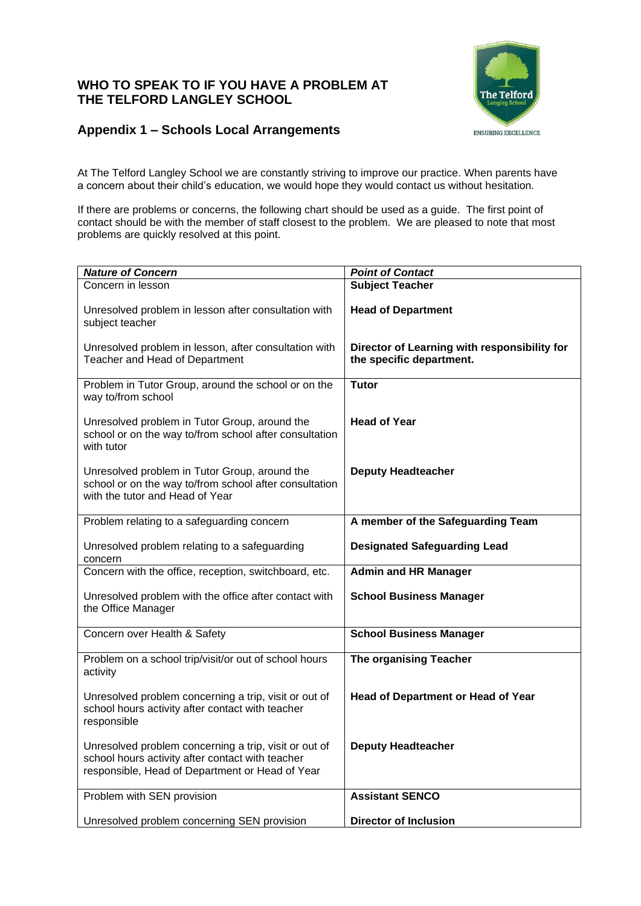## **WHO TO SPEAK TO IF YOU HAVE A PROBLEM AT THE TELFORD LANGLEY SCHOOL**



## **Appendix 1 – Schools Local Arrangements**

At The Telford Langley School we are constantly striving to improve our practice. When parents have a concern about their child's education, we would hope they would contact us without hesitation.

If there are problems or concerns, the following chart should be used as a guide. The first point of contact should be with the member of staff closest to the problem. We are pleased to note that most problems are quickly resolved at this point.

| <b>Nature of Concern</b>                                                                                                                                     | <b>Point of Contact</b>                                                  |
|--------------------------------------------------------------------------------------------------------------------------------------------------------------|--------------------------------------------------------------------------|
| Concern in lesson                                                                                                                                            | <b>Subject Teacher</b>                                                   |
| Unresolved problem in lesson after consultation with<br>subject teacher                                                                                      | <b>Head of Department</b>                                                |
| Unresolved problem in lesson, after consultation with<br>Teacher and Head of Department                                                                      | Director of Learning with responsibility for<br>the specific department. |
| Problem in Tutor Group, around the school or on the<br>way to/from school                                                                                    | Tutor                                                                    |
| Unresolved problem in Tutor Group, around the<br>school or on the way to/from school after consultation<br>with tutor                                        | <b>Head of Year</b>                                                      |
| Unresolved problem in Tutor Group, around the<br>school or on the way to/from school after consultation<br>with the tutor and Head of Year                   | <b>Deputy Headteacher</b>                                                |
| Problem relating to a safeguarding concern                                                                                                                   | A member of the Safeguarding Team                                        |
| Unresolved problem relating to a safeguarding<br>concern                                                                                                     | <b>Designated Safeguarding Lead</b>                                      |
| Concern with the office, reception, switchboard, etc.                                                                                                        | <b>Admin and HR Manager</b>                                              |
| Unresolved problem with the office after contact with<br>the Office Manager                                                                                  | <b>School Business Manager</b>                                           |
| Concern over Health & Safety                                                                                                                                 | <b>School Business Manager</b>                                           |
| Problem on a school trip/visit/or out of school hours<br>activity                                                                                            | The organising Teacher                                                   |
| Unresolved problem concerning a trip, visit or out of<br>school hours activity after contact with teacher<br>responsible                                     | <b>Head of Department or Head of Year</b>                                |
| Unresolved problem concerning a trip, visit or out of<br>school hours activity after contact with teacher<br>responsible, Head of Department or Head of Year | <b>Deputy Headteacher</b>                                                |
| Problem with SEN provision                                                                                                                                   | <b>Assistant SENCO</b>                                                   |
| Unresolved problem concerning SEN provision                                                                                                                  | <b>Director of Inclusion</b>                                             |